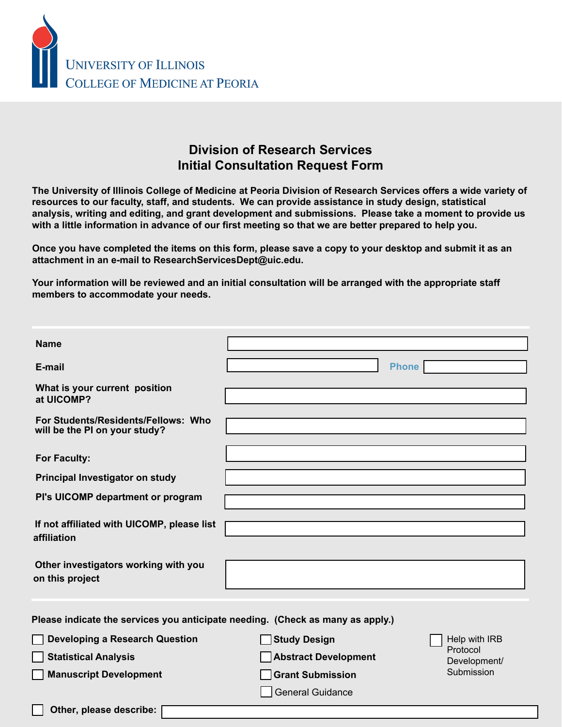

## **Division of Research Services Initial Consultation Request Form**

**The University of Illinois College of Medicine at Peoria Division of Research Services offers a wide variety of resources to our faculty, staff, and students. We can provide assistance in study design, statistical analysis, writing and editing, and grant development and submissions. Please take a moment to provide us with a little information in advance of our first meeting so that we are better prepared to help you.** 

**Once you have completed the items on this form, please save a copy to your desktop and submit it as an attachment in an e-mail to ResearchServicesDept@uic.edu.**

**Your information will be reviewed and an initial consultation will be arranged with the appropriate staff members to accommodate your needs.** 

| Name:                                                                                                 |                                                                               |                                                                                                         |
|-------------------------------------------------------------------------------------------------------|-------------------------------------------------------------------------------|---------------------------------------------------------------------------------------------------------|
| E-mail:<br>What is your current position at<br><b>UICOMP?</b>                                         | Phone:                                                                        |                                                                                                         |
| <b>For Students/Residents/Fellows: Who</b><br>will be the PI on your study?                           |                                                                               |                                                                                                         |
| <b>For Faculty:</b>                                                                                   |                                                                               |                                                                                                         |
| Principal Investigator on study:                                                                      |                                                                               |                                                                                                         |
| PI's UICOMP department or program:                                                                    |                                                                               |                                                                                                         |
| If not affiliated with UICOMP, please list<br>affiliation:                                            |                                                                               |                                                                                                         |
| Other investigators working with you<br>on this project:                                              |                                                                               |                                                                                                         |
| Please indicate the services you anticipate needing: (Check as many as apply.)                        |                                                                               |                                                                                                         |
| <b>Developing a Research Question</b><br><b>Statistical Analysis</b><br><b>Manuscript Development</b> | <b>Study Design</b><br><b>Abstract Development</b><br><b>Grant Submission</b> | <b>Help with IRB</b><br><b>Protocol</b><br>Development/<br><b>Submission</b><br><b>General Guidance</b> |
| Other, please describe:                                                                               |                                                                               |                                                                                                         |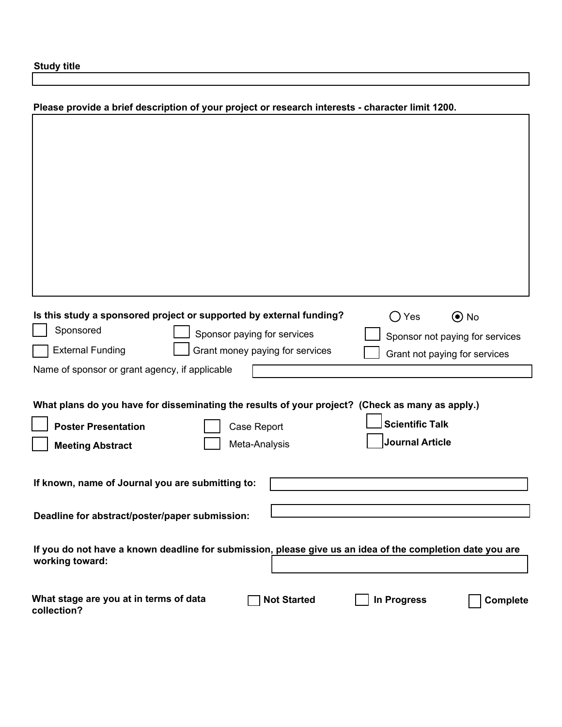**Study title:**

| Please provide a brief description of your project or research interests: (character limit 1200)                                                             |  |  |  |
|--------------------------------------------------------------------------------------------------------------------------------------------------------------|--|--|--|
|                                                                                                                                                              |  |  |  |
|                                                                                                                                                              |  |  |  |
|                                                                                                                                                              |  |  |  |
|                                                                                                                                                              |  |  |  |
|                                                                                                                                                              |  |  |  |
|                                                                                                                                                              |  |  |  |
|                                                                                                                                                              |  |  |  |
|                                                                                                                                                              |  |  |  |
| $\bigcap$ Yes<br>$\odot$ No<br>Is this study a sponsored project or supported by external funding?<br><b>Sponsored</b><br><b>Sponsor paying for services</b> |  |  |  |
| Sponsor not paying for services<br><b>Grant money paying for services</b><br><b>External Funding</b><br><b>Grant not paying for services</b>                 |  |  |  |
| Name of sponsor or grant agency, if applicable                                                                                                               |  |  |  |
|                                                                                                                                                              |  |  |  |
| What plans do you have for disseminating the results of your project? (Check as many as apply.)                                                              |  |  |  |
| <b>Scientific Talk</b><br><b>Poster Presentation</b><br><b>Case Report</b>                                                                                   |  |  |  |
| <b>Journal Article</b><br><b>Meeting Abstract</b><br><b>Meta-Analysis</b>                                                                                    |  |  |  |
| If known, name of Journal you are submitting to:                                                                                                             |  |  |  |
|                                                                                                                                                              |  |  |  |
| Deadline for abstract/poster/paper submission:                                                                                                               |  |  |  |
| If you do not have a known deadline for submission, please give us an idea of the completion date you are<br>working toward:                                 |  |  |  |
|                                                                                                                                                              |  |  |  |
| What stage are you at in terms of data<br>In Progress<br><b>Not Started</b><br><b>Complete</b><br>collection?                                                |  |  |  |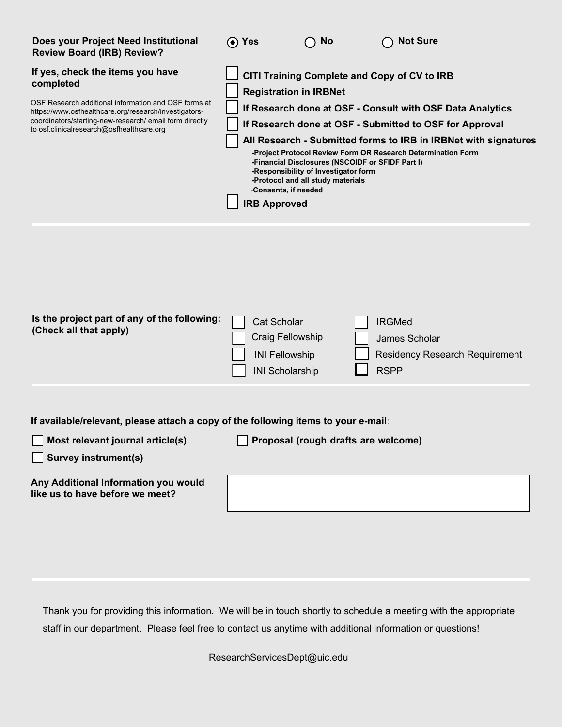| Does your Project Need Institutional<br><b>Review Board (IRB) Review?</b>                                                                                                                                                                                               | ⊙ Yes                                                                                            | <b>No</b>                                                                                                                     | <b>Not Sure</b>                                                                                                                                                                                                                                                                                         |
|-------------------------------------------------------------------------------------------------------------------------------------------------------------------------------------------------------------------------------------------------------------------------|--------------------------------------------------------------------------------------------------|-------------------------------------------------------------------------------------------------------------------------------|---------------------------------------------------------------------------------------------------------------------------------------------------------------------------------------------------------------------------------------------------------------------------------------------------------|
| If yes, check the items you have<br>completed.<br>OSF Research additional information and OSF forms at<br>https://www.osfhealthcare.org/research/investigators-<br>coordinators/starting-new-research/ email form directly<br>to osf.clinicalresearch@osfhealthcare.org | <b>Registration in IRBNet</b><br>-Consents, if needed<br><b>IRB Approved</b>                     | -Financial Disclosures (NSCOIDF or SFIDF Part I)<br>-Responsibility of Investigator form<br>-Protocol and all study materials | CITI Training Complete and Copy of CV to IRB<br>If Research done at OSF - Consult with OSF Data Analytics<br>If Research done at OSF - Submitted to OSF for Approval<br>Submitted forms to IRB in IRBNet (required signatures included)<br>-Project Protocol Review Form OR Research Determination Form |
| Is the project part of any of the following:<br>(Check all that apply.)                                                                                                                                                                                                 | <b>Cat Scholar</b><br><b>Craig Fellowship</b><br><b>INI Fellowship</b><br><b>INI Scholarship</b> |                                                                                                                               | <b>IRGMed</b><br><b>James Scholar</b><br><b>Residency Research Requirement</b><br><b>RSPP</b>                                                                                                                                                                                                           |
| If available/relevant, please attach a copy of the following items to your e-mail:<br>Most relevant journal article(s)<br><b>Survey instrument(s)</b><br>Any Additional Information you would<br>like us to have before we meet?                                        |                                                                                                  | Proposal (rough drafts are welcome)                                                                                           |                                                                                                                                                                                                                                                                                                         |

Thank you for providing this information. We will be in touch shortly to schedule a meeting with the appropriate staff in our department. Please feel free to contact us anytime with additional information or questions!

ResearchServicesDept@uic.edu